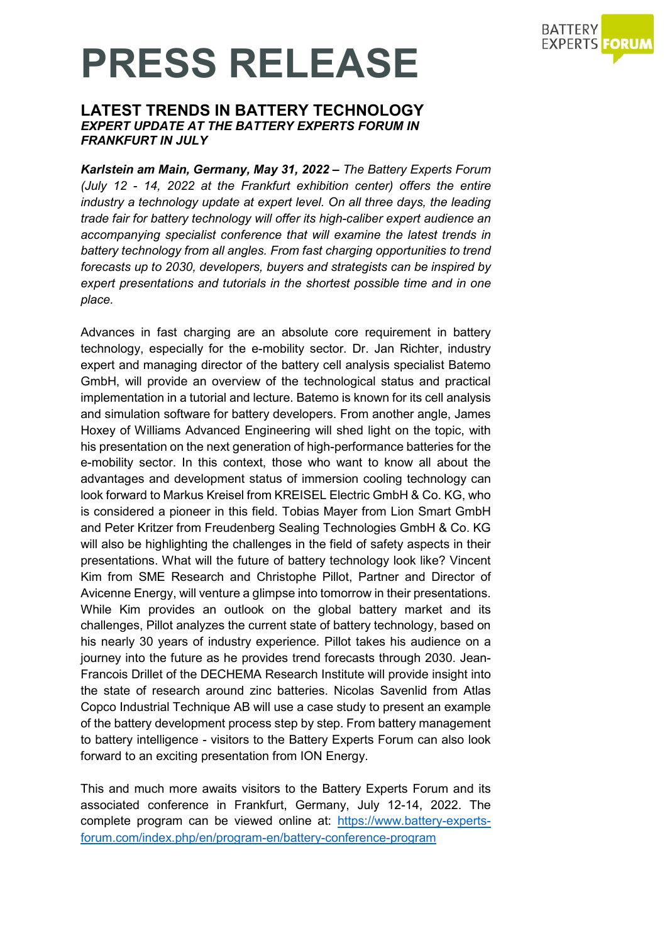

## **PRESS RELEASE**

### **LATEST TRENDS IN BATTERY TECHNOLOGY** *EXPERT UPDATE AT THE BATTERY EXPERTS FORUM IN FRANKFURT IN JULY*

*Karlstein am Main, Germany, May 31, 2022 – The Battery Experts Forum (July 12 - 14, 2022 at the Frankfurt exhibition center) offers the entire industry a technology update at expert level. On all three days, the leading trade fair for battery technology will offer its high-caliber expert audience an accompanying specialist conference that will examine the latest trends in battery technology from all angles. From fast charging opportunities to trend forecasts up to 2030, developers, buyers and strategists can be inspired by expert presentations and tutorials in the shortest possible time and in one place.*

Advances in fast charging are an absolute core requirement in battery technology, especially for the e-mobility sector. Dr. Jan Richter, industry expert and managing director of the battery cell analysis specialist Batemo GmbH, will provide an overview of the technological status and practical implementation in a tutorial and lecture. Batemo is known for its cell analysis and simulation software for battery developers. From another angle, James Hoxey of Williams Advanced Engineering will shed light on the topic, with his presentation on the next generation of high-performance batteries for the e-mobility sector. In this context, those who want to know all about the advantages and development status of immersion cooling technology can look forward to Markus Kreisel from KREISEL Electric GmbH & Co. KG, who is considered a pioneer in this field. Tobias Mayer from Lion Smart GmbH and Peter Kritzer from Freudenberg Sealing Technologies GmbH & Co. KG will also be highlighting the challenges in the field of safety aspects in their presentations. What will the future of battery technology look like? Vincent Kim from SME Research and Christophe Pillot, Partner and Director of Avicenne Energy, will venture a glimpse into tomorrow in their presentations. While Kim provides an outlook on the global battery market and its challenges, Pillot analyzes the current state of battery technology, based on his nearly 30 years of industry experience. Pillot takes his audience on a journey into the future as he provides trend forecasts through 2030. Jean-Francois Drillet of the DECHEMA Research Institute will provide insight into the state of research around zinc batteries. Nicolas Savenlid from Atlas Copco Industrial Technique AB will use a case study to present an example of the battery development process step by step. From battery management to battery intelligence - visitors to the Battery Experts Forum can also look forward to an exciting presentation from ION Energy.

This and much more awaits visitors to the Battery Experts Forum and its associated conference in Frankfurt, Germany, July 12-14, 2022. The complete program can be viewed online at: [https://www.battery-experts](https://www.battery-experts-forum.com/index.php/en/program-en/battery-conference-program)[forum.com/index.php/en/program-en/battery-conference-program](https://www.battery-experts-forum.com/index.php/en/program-en/battery-conference-program)